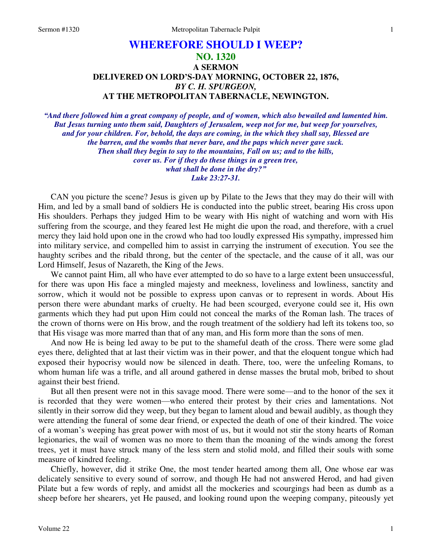# **WHEREFORE SHOULD I WEEP? NO. 1320 A SERMON DELIVERED ON LORD'S-DAY MORNING, OCTOBER 22, 1876,**  *BY C. H. SPURGEON,*  **AT THE METROPOLITAN TABERNACLE, NEWINGTON.**

*"And there followed him a great company of people, and of women, which also bewailed and lamented him. But Jesus turning unto them said, Daughters of Jerusalem, weep not for me, but weep for yourselves, and for your children. For, behold, the days are coming, in the which they shall say, Blessed are the barren, and the wombs that never bare, and the paps which never gave suck. Then shall they begin to say to the mountains, Fall on us; and to the hills, cover us. For if they do these things in a green tree, what shall be done in the dry?" Luke 23:27-31.* 

CAN you picture the scene? Jesus is given up by Pilate to the Jews that they may do their will with Him, and led by a small band of soldiers He is conducted into the public street, bearing His cross upon His shoulders. Perhaps they judged Him to be weary with His night of watching and worn with His suffering from the scourge, and they feared lest He might die upon the road, and therefore, with a cruel mercy they laid hold upon one in the crowd who had too loudly expressed His sympathy, impressed him into military service, and compelled him to assist in carrying the instrument of execution. You see the haughty scribes and the ribald throng, but the center of the spectacle, and the cause of it all, was our Lord Himself, Jesus of Nazareth, the King of the Jews.

We cannot paint Him, all who have ever attempted to do so have to a large extent been unsuccessful, for there was upon His face a mingled majesty and meekness, loveliness and lowliness, sanctity and sorrow, which it would not be possible to express upon canvas or to represent in words. About His person there were abundant marks of cruelty. He had been scourged, everyone could see it, His own garments which they had put upon Him could not conceal the marks of the Roman lash. The traces of the crown of thorns were on His brow, and the rough treatment of the soldiery had left its tokens too, so that His visage was more marred than that of any man, and His form more than the sons of men.

 And now He is being led away to be put to the shameful death of the cross. There were some glad eyes there, delighted that at last their victim was in their power, and that the eloquent tongue which had exposed their hypocrisy would now be silenced in death. There, too, were the unfeeling Romans, to whom human life was a trifle, and all around gathered in dense masses the brutal mob, bribed to shout against their best friend.

 But all then present were not in this savage mood. There were some—and to the honor of the sex it is recorded that they were women—who entered their protest by their cries and lamentations. Not silently in their sorrow did they weep, but they began to lament aloud and bewail audibly, as though they were attending the funeral of some dear friend, or expected the death of one of their kindred. The voice of a woman's weeping has great power with most of us, but it would not stir the stony hearts of Roman legionaries, the wail of women was no more to them than the moaning of the winds among the forest trees, yet it must have struck many of the less stern and stolid mold, and filled their souls with some measure of kindred feeling.

 Chiefly, however, did it strike One, the most tender hearted among them all, One whose ear was delicately sensitive to every sound of sorrow, and though He had not answered Herod, and had given Pilate but a few words of reply, and amidst all the mockeries and scourgings had been as dumb as a sheep before her shearers, yet He paused, and looking round upon the weeping company, piteously yet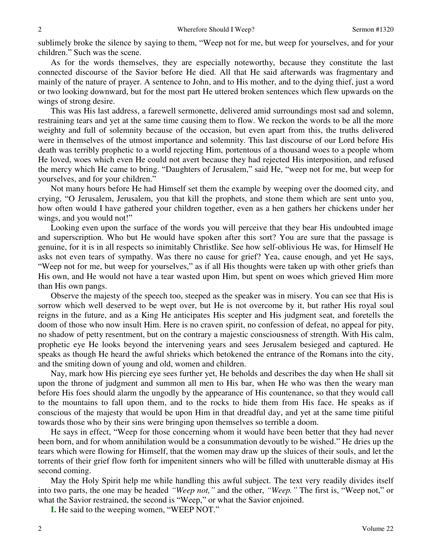sublimely broke the silence by saying to them, "Weep not for me, but weep for yourselves, and for your children." Such was the scene.

 As for the words themselves, they are especially noteworthy, because they constitute the last connected discourse of the Savior before He died. All that He said afterwards was fragmentary and mainly of the nature of prayer. A sentence to John, and to His mother, and to the dying thief, just a word or two looking downward, but for the most part He uttered broken sentences which flew upwards on the wings of strong desire.

 This was His last address, a farewell sermonette, delivered amid surroundings most sad and solemn, restraining tears and yet at the same time causing them to flow. We reckon the words to be all the more weighty and full of solemnity because of the occasion, but even apart from this, the truths delivered were in themselves of the utmost importance and solemnity. This last discourse of our Lord before His death was terribly prophetic to a world rejecting Him, portentous of a thousand woes to a people whom He loved, woes which even He could not avert because they had rejected His interposition, and refused the mercy which He came to bring. "Daughters of Jerusalem," said He, "weep not for me, but weep for yourselves, and for your children."

 Not many hours before He had Himself set them the example by weeping over the doomed city, and crying, "O Jerusalem, Jerusalem, you that kill the prophets, and stone them which are sent unto you, how often would I have gathered your children together, even as a hen gathers her chickens under her wings, and you would not!"

 Looking even upon the surface of the words you will perceive that they bear His undoubted image and superscription. Who but He would have spoken after this sort? You are sure that the passage is genuine, for it is in all respects so inimitably Christlike. See how self-oblivious He was, for Himself He asks not even tears of sympathy. Was there no cause for grief? Yea, cause enough, and yet He says, "Weep not for me, but weep for yourselves," as if all His thoughts were taken up with other griefs than His own, and He would not have a tear wasted upon Him, but spent on woes which grieved Him more than His own pangs.

Observe the majesty of the speech too, steeped as the speaker was in misery. You can see that His is sorrow which well deserved to be wept over, but He is not overcome by it, but rather His royal soul reigns in the future, and as a King He anticipates His scepter and His judgment seat, and foretells the doom of those who now insult Him. Here is no craven spirit, no confession of defeat, no appeal for pity, no shadow of petty resentment, but on the contrary a majestic consciousness of strength. With His calm, prophetic eye He looks beyond the intervening years and sees Jerusalem besieged and captured. He speaks as though He heard the awful shrieks which betokened the entrance of the Romans into the city, and the smiting down of young and old, women and children.

 Nay, mark how His piercing eye sees further yet, He beholds and describes the day when He shall sit upon the throne of judgment and summon all men to His bar, when He who was then the weary man before His foes should alarm the ungodly by the appearance of His countenance, so that they would call to the mountains to fall upon them, and to the rocks to hide them from His face. He speaks as if conscious of the majesty that would be upon Him in that dreadful day, and yet at the same time pitiful towards those who by their sins were bringing upon themselves so terrible a doom.

 He says in effect, "Weep for those concerning whom it would have been better that they had never been born, and for whom annihilation would be a consummation devoutly to be wished." He dries up the tears which were flowing for Himself, that the women may draw up the sluices of their souls, and let the torrents of their grief flow forth for impenitent sinners who will be filled with unutterable dismay at His second coming.

 May the Holy Spirit help me while handling this awful subject. The text very readily divides itself into two parts, the one may be headed *"Weep not,"* and the other, *"Weep."* The first is, "Weep not," or what the Savior restrained, the second is "Weep," or what the Savior enjoined.

**I.** He said to the weeping women, "WEEP NOT."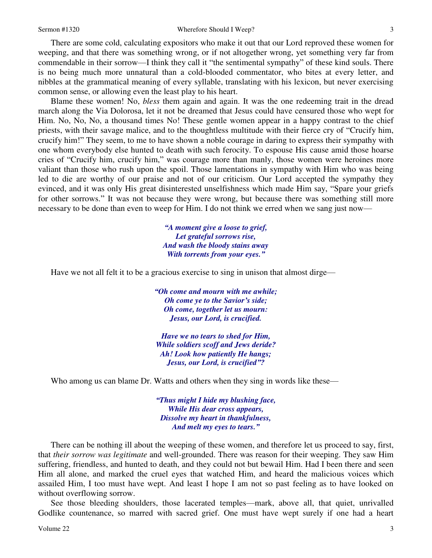### Sermon #1320 Wherefore Should I Weep?

 There are some cold, calculating expositors who make it out that our Lord reproved these women for weeping, and that there was something wrong, or if not altogether wrong, yet something very far from commendable in their sorrow—I think they call it "the sentimental sympathy" of these kind souls. There is no being much more unnatural than a cold-blooded commentator, who bites at every letter, and nibbles at the grammatical meaning of every syllable, translating with his lexicon, but never exercising common sense, or allowing even the least play to his heart.

 Blame these women! No, *bless* them again and again. It was the one redeeming trait in the dread march along the Via Dolorosa, let it not be dreamed that Jesus could have censured those who wept for Him. No, No, No, a thousand times No! These gentle women appear in a happy contrast to the chief priests, with their savage malice, and to the thoughtless multitude with their fierce cry of "Crucify him, crucify him!" They seem, to me to have shown a noble courage in daring to express their sympathy with one whom everybody else hunted to death with such ferocity. To espouse His cause amid those hoarse cries of "Crucify him, crucify him," was courage more than manly, those women were heroines more valiant than those who rush upon the spoil. Those lamentations in sympathy with Him who was being led to die are worthy of our praise and not of our criticism. Our Lord accepted the sympathy they evinced, and it was only His great disinterested unselfishness which made Him say, "Spare your griefs for other sorrows." It was not because they were wrong, but because there was something still more necessary to be done than even to weep for Him. I do not think we erred when we sang just now—

> *"A moment give a loose to grief, Let grateful sorrows rise, And wash the bloody stains away With torrents from your eyes."*

Have we not all felt it to be a gracious exercise to sing in unison that almost dirge—

*"Oh come and mourn with me awhile; Oh come ye to the Savior's side; Oh come, together let us mourn: Jesus, our Lord, is crucified.* 

*Have we no tears to shed for Him, While soldiers scoff and Jews deride? Ah! Look how patiently He hangs; Jesus, our Lord, is crucified"?* 

Who among us can blame Dr. Watts and others when they sing in words like these—

*"Thus might I hide my blushing face, While His dear cross appears, Dissolve my heart in thankfulness, And melt my eyes to tears."*

 There can be nothing ill about the weeping of these women, and therefore let us proceed to say, first, that *their sorrow was legitimate* and well-grounded. There was reason for their weeping. They saw Him suffering, friendless, and hunted to death, and they could not but bewail Him. Had I been there and seen Him all alone, and marked the cruel eyes that watched Him, and heard the malicious voices which assailed Him, I too must have wept. And least I hope I am not so past feeling as to have looked on without overflowing sorrow.

 See those bleeding shoulders, those lacerated temples—mark, above all, that quiet, unrivalled Godlike countenance, so marred with sacred grief. One must have wept surely if one had a heart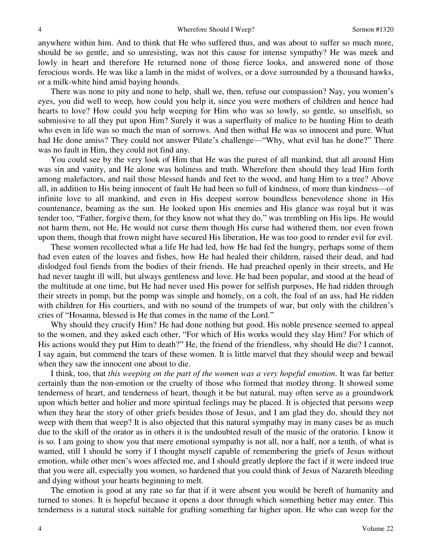anywhere within him. And to think that He who suffered thus, and was about to suffer so much more, should be so gentle, and so unresisting, was not this cause for intense sympathy? He was meek and lowly in heart and therefore He returned none of those fierce looks, and answered none of those ferocious words. He was like a lamb in the midst of wolves, or a dove surrounded by a thousand hawks, or a milk-white hind amid baying hounds.

 There was none to pity and none to help, shall we, then, refuse our compassion? Nay, you women's eyes, you did well to weep, how could you help it, since you were mothers of children and hence had hearts to love? How could you help weeping for Him who was so lowly, so gentle, so unselfish, so submissive to all they put upon Him? Surely it was a superfluity of malice to be hunting Him to death who even in life was so much the man of sorrows. And then withal He was so innocent and pure. What had He done amiss? They could not answer Pilate's challenge—"Why, what evil has he done?" There was no fault in Him, they could not find any.

 You could see by the very look of Him that He was the purest of all mankind, that all around Him was sin and vanity, and He alone was holiness and truth. Wherefore then should they lead Him forth among malefactors, and nail those blessed hands and feet to the wood, and hang Him to a tree? Above all, in addition to His being innocent of fault He had been so full of kindness, of more than kindness—of infinite love to all mankind, and even in His deepest sorrow boundless benevolence shone in His countenance, beaming as the sun. He looked upon His enemies and His glance was royal but it was tender too, "Father, forgive them, for they know not what they do," was trembling on His lips. He would not harm them, not He, He would not curse them though His curse had withered them, nor even frown upon them, though that frown might have secured His liberation, He was too good to render evil for evil.

 These women recollected what a life He had led, how He had fed the hungry, perhaps some of them had even eaten of the loaves and fishes, how He had healed their children, raised their dead, and had dislodged foul fiends from the bodies of their friends. He had preached openly in their streets, and He had never taught ill will, but always gentleness and love. He had been popular, and stood at the head of the multitude at one time, but He had never used His power for selfish purposes, He had ridden through their streets in pomp, but the pomp was simple and homely, on a colt, the foal of an ass, had He ridden with children for His courtiers, and with no sound of the trumpets of war, but only with the children's cries of "Hosanna, blessed is He that comes in the name of the Lord."

 Why should they crucify Him? He had done nothing but good. His noble presence seemed to appeal to the women, and they asked each other, "For which of His works would they slay Him? For which of His actions would they put Him to death?" He, the friend of the friendless, why should He die? I cannot, I say again, but commend the tears of these women. It is little marvel that they should weep and bewail when they saw the innocent one about to die.

 I think, too, that *this weeping on the part of the women was a very hopeful emotion*. It was far better certainly than the non-emotion or the cruelty of those who formed that motley throng. It showed some tenderness of heart, and tenderness of heart, though it be but natural, may often serve as a groundwork upon which better and holier and more spiritual feelings may be placed. It is objected that persons weep when they hear the story of other griefs besides those of Jesus, and I am glad they do, should they not weep with them that weep? It is also objected that this natural sympathy may in many cases be as much due to the skill of the orator as in others it is the undoubted result of the music of the oratorio. I know it is so. I am going to show you that mere emotional sympathy is not all, nor a half, nor a tenth, of what is wanted, still I should be sorry if I thought myself capable of remembering the griefs of Jesus without emotion, while other men's woes affected me, and I should greatly deplore the fact if it were indeed true that you were all, especially you women, so hardened that you could think of Jesus of Nazareth bleeding and dying without your hearts beginning to melt.

 The emotion is good at any rate so far that if it were absent you would be bereft of humanity and turned to stones. It is hopeful because it opens a door through which something better may enter. This tenderness is a natural stock suitable for grafting something far higher upon. He who can weep for the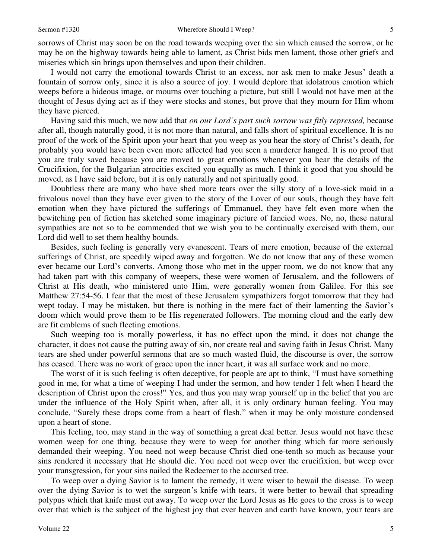sorrows of Christ may soon be on the road towards weeping over the sin which caused the sorrow, or he may be on the highway towards being able to lament, as Christ bids men lament, those other griefs and miseries which sin brings upon themselves and upon their children.

 I would not carry the emotional towards Christ to an excess, nor ask men to make Jesus' death a fountain of sorrow only, since it is also a source of joy. I would deplore that idolatrous emotion which weeps before a hideous image, or mourns over touching a picture, but still I would not have men at the thought of Jesus dying act as if they were stocks and stones, but prove that they mourn for Him whom they have pierced.

 Having said this much, we now add that *on our Lord's part such sorrow was fitly repressed,* because after all, though naturally good, it is not more than natural, and falls short of spiritual excellence. It is no proof of the work of the Spirit upon your heart that you weep as you hear the story of Christ's death, for probably you would have been even more affected had you seen a murderer hanged. It is no proof that you are truly saved because you are moved to great emotions whenever you hear the details of the Crucifixion, for the Bulgarian atrocities excited you equally as much. I think it good that you should be moved, as I have said before, but it is only naturally and not spiritually good.

 Doubtless there are many who have shed more tears over the silly story of a love-sick maid in a frivolous novel than they have ever given to the story of the Lover of our souls, though they have felt emotion when they have pictured the sufferings of Emmanuel, they have felt even more when the bewitching pen of fiction has sketched some imaginary picture of fancied woes. No, no, these natural sympathies are not so to be commended that we wish you to be continually exercised with them, our Lord did well to set them healthy bounds.

 Besides, such feeling is generally very evanescent. Tears of mere emotion, because of the external sufferings of Christ, are speedily wiped away and forgotten. We do not know that any of these women ever became our Lord's converts. Among those who met in the upper room, we do not know that any had taken part with this company of weepers, these were women of Jerusalem, and the followers of Christ at His death, who ministered unto Him, were generally women from Galilee. For this see Matthew 27:54-56. I fear that the most of these Jerusalem sympathizers forgot tomorrow that they had wept today. I may be mistaken, but there is nothing in the mere fact of their lamenting the Savior's doom which would prove them to be His regenerated followers. The morning cloud and the early dew are fit emblems of such fleeting emotions.

 Such weeping too is morally powerless, it has no effect upon the mind, it does not change the character, it does not cause the putting away of sin, nor create real and saving faith in Jesus Christ. Many tears are shed under powerful sermons that are so much wasted fluid, the discourse is over, the sorrow has ceased. There was no work of grace upon the inner heart, it was all surface work and no more.

 The worst of it is such feeling is often deceptive, for people are apt to think, "I must have something good in me, for what a time of weeping I had under the sermon, and how tender I felt when I heard the description of Christ upon the cross!" Yes, and thus you may wrap yourself up in the belief that you are under the influence of the Holy Spirit when, after all, it is only ordinary human feeling. You may conclude, "Surely these drops come from a heart of flesh," when it may be only moisture condensed upon a heart of stone.

 This feeling, too, may stand in the way of something a great deal better. Jesus would not have these women weep for one thing, because they were to weep for another thing which far more seriously demanded their weeping. You need not weep because Christ died one-tenth so much as because your sins rendered it necessary that He should die. You need not weep over the crucifixion, but weep over your transgression, for your sins nailed the Redeemer to the accursed tree.

 To weep over a dying Savior is to lament the remedy, it were wiser to bewail the disease. To weep over the dying Savior is to wet the surgeon's knife with tears, it were better to bewail that spreading polypus which that knife must cut away. To weep over the Lord Jesus as He goes to the cross is to weep over that which is the subject of the highest joy that ever heaven and earth have known, your tears are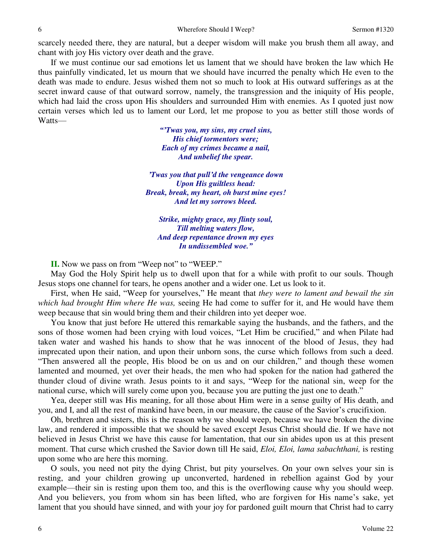scarcely needed there, they are natural, but a deeper wisdom will make you brush them all away, and chant with joy His victory over death and the grave.

 If we must continue our sad emotions let us lament that we should have broken the law which He thus painfully vindicated, let us mourn that we should have incurred the penalty which He even to the death was made to endure. Jesus wished them not so much to look at His outward sufferings as at the secret inward cause of that outward sorrow, namely, the transgression and the iniquity of His people, which had laid the cross upon His shoulders and surrounded Him with enemies. As I quoted just now certain verses which led us to lament our Lord, let me propose to you as better still those words of Watts—

> *"'Twas you, my sins, my cruel sins, His chief tormentors were; Each of my crimes became a nail, And unbelief the spear.*

*'Twas you that pull'd the vengeance down Upon His guiltless head: Break, break, my heart, oh burst mine eyes! And let my sorrows bleed.* 

*Strike, mighty grace, my flinty soul, Till melting waters flow, And deep repentance drown my eyes In undissembled woe."*

**II.** Now we pass on from "Weep not" to "WEEP."

 May God the Holy Spirit help us to dwell upon that for a while with profit to our souls. Though Jesus stops one channel for tears, he opens another and a wider one. Let us look to it.

 First, when He said, "Weep for yourselves," He meant that *they were to lament and bewail the sin which had brought Him where He was,* seeing He had come to suffer for it, and He would have them weep because that sin would bring them and their children into yet deeper woe.

 You know that just before He uttered this remarkable saying the husbands, and the fathers, and the sons of those women had been crying with loud voices, "Let Him be crucified," and when Pilate had taken water and washed his hands to show that he was innocent of the blood of Jesus, they had imprecated upon their nation, and upon their unborn sons, the curse which follows from such a deed. "Then answered all the people, His blood be on us and on our children," and though these women lamented and mourned, yet over their heads, the men who had spoken for the nation had gathered the thunder cloud of divine wrath. Jesus points to it and says, "Weep for the national sin, weep for the national curse, which will surely come upon you, because you are putting the just one to death."

 Yea, deeper still was His meaning, for all those about Him were in a sense guilty of His death, and you, and I, and all the rest of mankind have been, in our measure, the cause of the Savior's crucifixion.

 Oh, brethren and sisters, this is the reason why we should weep, because we have broken the divine law, and rendered it impossible that we should be saved except Jesus Christ should die. If we have not believed in Jesus Christ we have this cause for lamentation, that our sin abides upon us at this present moment. That curse which crushed the Savior down till He said, *Eloi, Eloi, lama sabachthani,* is resting upon some who are here this morning.

 O souls, you need not pity the dying Christ, but pity yourselves. On your own selves your sin is resting, and your children growing up unconverted, hardened in rebellion against God by your example—their sin is resting upon them too, and this is the overflowing cause why you should weep. And you believers, you from whom sin has been lifted, who are forgiven for His name's sake, yet lament that you should have sinned, and with your joy for pardoned guilt mourn that Christ had to carry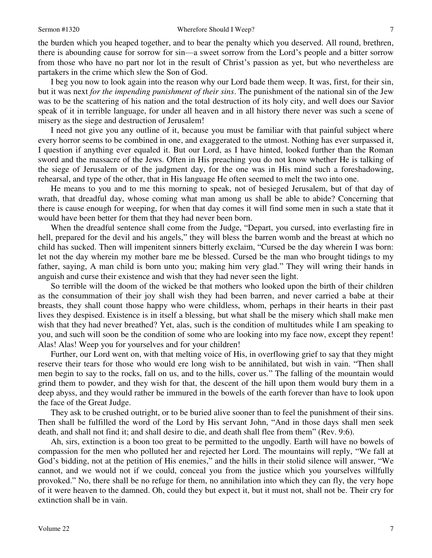the burden which you heaped together, and to bear the penalty which you deserved. All round, brethren, there is abounding cause for sorrow for sin—a sweet sorrow from the Lord's people and a bitter sorrow from those who have no part nor lot in the result of Christ's passion as yet, but who nevertheless are partakers in the crime which slew the Son of God.

 I beg you now to look again into the reason why our Lord bade them weep. It was, first, for their sin, but it was next *for the impending punishment of their sins*. The punishment of the national sin of the Jew was to be the scattering of his nation and the total destruction of its holy city, and well does our Savior speak of it in terrible language, for under all heaven and in all history there never was such a scene of misery as the siege and destruction of Jerusalem!

 I need not give you any outline of it, because you must be familiar with that painful subject where every horror seems to be combined in one, and exaggerated to the utmost. Nothing has ever surpassed it, I question if anything ever equaled it. But our Lord, as I have hinted, looked further than the Roman sword and the massacre of the Jews. Often in His preaching you do not know whether He is talking of the siege of Jerusalem or of the judgment day, for the one was in His mind such a foreshadowing, rehearsal, and type of the other, that in His language He often seemed to melt the two into one.

 He means to you and to me this morning to speak, not of besieged Jerusalem, but of that day of wrath, that dreadful day, whose coming what man among us shall be able to abide? Concerning that there is cause enough for weeping, for when that day comes it will find some men in such a state that it would have been better for them that they had never been born.

 When the dreadful sentence shall come from the Judge, "Depart, you cursed, into everlasting fire in hell, prepared for the devil and his angels," they will bless the barren womb and the breast at which no child has sucked. Then will impenitent sinners bitterly exclaim, "Cursed be the day wherein I was born: let not the day wherein my mother bare me be blessed. Cursed be the man who brought tidings to my father, saying, A man child is born unto you; making him very glad." They will wring their hands in anguish and curse their existence and wish that they had never seen the light.

 So terrible will the doom of the wicked be that mothers who looked upon the birth of their children as the consummation of their joy shall wish they had been barren, and never carried a babe at their breasts, they shall count those happy who were childless, whom, perhaps in their hearts in their past lives they despised. Existence is in itself a blessing, but what shall be the misery which shall make men wish that they had never breathed? Yet, alas, such is the condition of multitudes while I am speaking to you, and such will soon be the condition of some who are looking into my face now, except they repent! Alas! Alas! Weep you for yourselves and for your children!

 Further, our Lord went on, with that melting voice of His, in overflowing grief to say that they might reserve their tears for those who would ere long wish to be annihilated, but wish in vain. "Then shall men begin to say to the rocks, fall on us, and to the hills, cover us." The falling of the mountain would grind them to powder, and they wish for that, the descent of the hill upon them would bury them in a deep abyss, and they would rather be immured in the bowels of the earth forever than have to look upon the face of the Great Judge.

 They ask to be crushed outright, or to be buried alive sooner than to feel the punishment of their sins. Then shall be fulfilled the word of the Lord by His servant John, "And in those days shall men seek death, and shall not find it; and shall desire to die, and death shall flee from them" (Rev. 9:6).

 Ah, sirs, extinction is a boon too great to be permitted to the ungodly. Earth will have no bowels of compassion for the men who polluted her and rejected her Lord. The mountains will reply, "We fall at God's bidding, not at the petition of His enemies," and the hills in their stolid silence will answer, "We cannot, and we would not if we could, conceal you from the justice which you yourselves willfully provoked." No, there shall be no refuge for them, no annihilation into which they can fly, the very hope of it were heaven to the damned. Oh, could they but expect it, but it must not, shall not be. Their cry for extinction shall be in vain.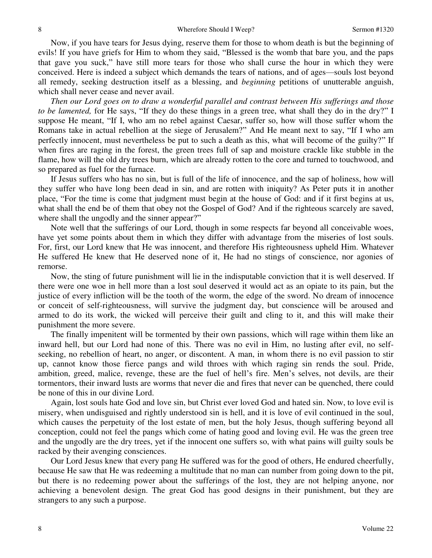Now, if you have tears for Jesus dying, reserve them for those to whom death is but the beginning of evils! If you have griefs for Him to whom they said, "Blessed is the womb that bare you, and the paps that gave you suck," have still more tears for those who shall curse the hour in which they were conceived. Here is indeed a subject which demands the tears of nations, and of ages—souls lost beyond all remedy, seeking destruction itself as a blessing, and *beginning* petitions of unutterable anguish, which shall never cease and never avail.

*Then our Lord goes on to draw a wonderful parallel and contrast between His sufferings and those to be lamented,* for He says, "If they do these things in a green tree, what shall they do in the dry?" I suppose He meant, "If I, who am no rebel against Caesar, suffer so, how will those suffer whom the Romans take in actual rebellion at the siege of Jerusalem?" And He meant next to say, "If I who am perfectly innocent, must nevertheless be put to such a death as this, what will become of the guilty?" If when fires are raging in the forest, the green trees full of sap and moisture crackle like stubble in the flame, how will the old dry trees burn, which are already rotten to the core and turned to touchwood, and so prepared as fuel for the furnace.

 If Jesus suffers who has no sin, but is full of the life of innocence, and the sap of holiness, how will they suffer who have long been dead in sin, and are rotten with iniquity? As Peter puts it in another place, "For the time is come that judgment must begin at the house of God: and if it first begins at us, what shall the end be of them that obey not the Gospel of God? And if the righteous scarcely are saved, where shall the ungodly and the sinner appear?"

 Note well that the sufferings of our Lord, though in some respects far beyond all conceivable woes, have yet some points about them in which they differ with advantage from the miseries of lost souls. For, first, our Lord knew that He was innocent, and therefore His righteousness upheld Him. Whatever He suffered He knew that He deserved none of it, He had no stings of conscience, nor agonies of remorse.

 Now, the sting of future punishment will lie in the indisputable conviction that it is well deserved. If there were one woe in hell more than a lost soul deserved it would act as an opiate to its pain, but the justice of every infliction will be the tooth of the worm, the edge of the sword. No dream of innocence or conceit of self-righteousness, will survive the judgment day, but conscience will be aroused and armed to do its work, the wicked will perceive their guilt and cling to it, and this will make their punishment the more severe.

 The finally impenitent will be tormented by their own passions, which will rage within them like an inward hell, but our Lord had none of this. There was no evil in Him, no lusting after evil, no selfseeking, no rebellion of heart, no anger, or discontent. A man, in whom there is no evil passion to stir up, cannot know those fierce pangs and wild throes with which raging sin rends the soul. Pride, ambition, greed, malice, revenge, these are the fuel of hell's fire. Men's selves, not devils, are their tormentors, their inward lusts are worms that never die and fires that never can be quenched, there could be none of this in our divine Lord.

 Again, lost souls hate God and love sin, but Christ ever loved God and hated sin. Now, to love evil is misery, when undisguised and rightly understood sin is hell, and it is love of evil continued in the soul, which causes the perpetuity of the lost estate of men, but the holy Jesus, though suffering beyond all conception, could not feel the pangs which come of hating good and loving evil. He was the green tree and the ungodly are the dry trees, yet if the innocent one suffers so, with what pains will guilty souls be racked by their avenging consciences.

 Our Lord Jesus knew that every pang He suffered was for the good of others, He endured cheerfully, because He saw that He was redeeming a multitude that no man can number from going down to the pit, but there is no redeeming power about the sufferings of the lost, they are not helping anyone, nor achieving a benevolent design. The great God has good designs in their punishment, but they are strangers to any such a purpose.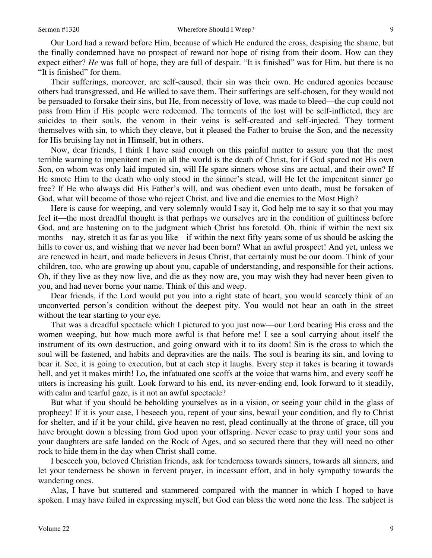Our Lord had a reward before Him, because of which He endured the cross, despising the shame, but the finally condemned have no prospect of reward nor hope of rising from their doom. How can they expect either? *He* was full of hope, they are full of despair. "It is finished" was for Him, but there is no "It is finished" for them.

 Their sufferings, moreover, are self-caused, their sin was their own. He endured agonies because others had transgressed, and He willed to save them. Their sufferings are self-chosen, for they would not be persuaded to forsake their sins, but He, from necessity of love, was made to bleed—the cup could not pass from Him if His people were redeemed. The torments of the lost will be self-inflicted, they are suicides to their souls, the venom in their veins is self-created and self-injected. They torment themselves with sin, to which they cleave, but it pleased the Father to bruise the Son, and the necessity for His bruising lay not in Himself, but in others.

 Now, dear friends, I think I have said enough on this painful matter to assure you that the most terrible warning to impenitent men in all the world is the death of Christ, for if God spared not His own Son, on whom was only laid imputed sin, will He spare sinners whose sins are actual, and their own? If He smote Him to the death who only stood in the sinner's stead, will He let the impenitent sinner go free? If He who always did His Father's will, and was obedient even unto death, must be forsaken of God, what will become of those who reject Christ, and live and die enemies to the Most High?

 Here is cause for weeping, and very solemnly would I say it, God help me to say it so that you may feel it—the most dreadful thought is that perhaps we ourselves are in the condition of guiltiness before God, and are hastening on to the judgment which Christ has foretold. Oh, think if within the next six months—nay, stretch it as far as you like—if within the next fifty years some of us should be asking the hills to cover us, and wishing that we never had been born? What an awful prospect! And yet, unless we are renewed in heart, and made believers in Jesus Christ, that certainly must be our doom. Think of your children, too, who are growing up about you, capable of understanding, and responsible for their actions. Oh, if they live as they now live, and die as they now are, you may wish they had never been given to you, and had never borne your name. Think of this and weep.

 Dear friends, if the Lord would put you into a right state of heart, you would scarcely think of an unconverted person's condition without the deepest pity. You would not hear an oath in the street without the tear starting to your eye.

 That was a dreadful spectacle which I pictured to you just now—our Lord bearing His cross and the women weeping, but how much more awful is that before me! I see a soul carrying about itself the instrument of its own destruction, and going onward with it to its doom! Sin is the cross to which the soul will be fastened, and habits and depravities are the nails. The soul is bearing its sin, and loving to bear it. See, it is going to execution, but at each step it laughs. Every step it takes is bearing it towards hell, and yet it makes mirth! Lo, the infatuated one scoffs at the voice that warns him, and every scoff he utters is increasing his guilt. Look forward to his end, its never-ending end, look forward to it steadily, with calm and tearful gaze, is it not an awful spectacle?

 But what if you should be beholding yourselves as in a vision, or seeing your child in the glass of prophecy! If it is your case, I beseech you, repent of your sins, bewail your condition, and fly to Christ for shelter, and if it be your child, give heaven no rest, plead continually at the throne of grace, till you have brought down a blessing from God upon your offspring. Never cease to pray until your sons and your daughters are safe landed on the Rock of Ages, and so secured there that they will need no other rock to hide them in the day when Christ shall come.

I beseech you, beloved Christian friends, ask for tenderness towards sinners, towards all sinners, and let your tenderness be shown in fervent prayer, in incessant effort, and in holy sympathy towards the wandering ones.

 Alas, I have but stuttered and stammered compared with the manner in which I hoped to have spoken. I may have failed in expressing myself, but God can bless the word none the less. The subject is